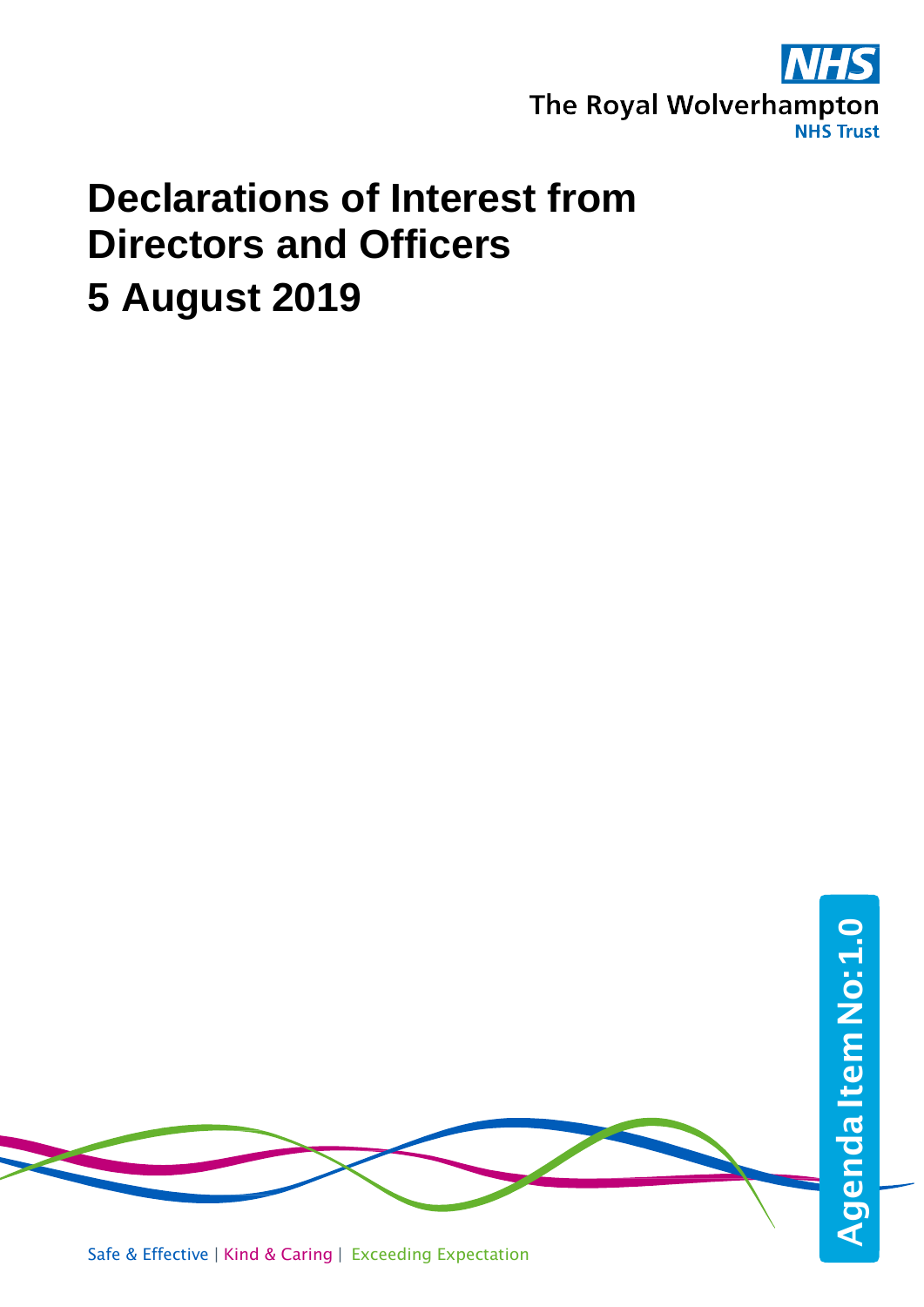

## **Declarations of Interest from Directors and Officers 5 August 2019**

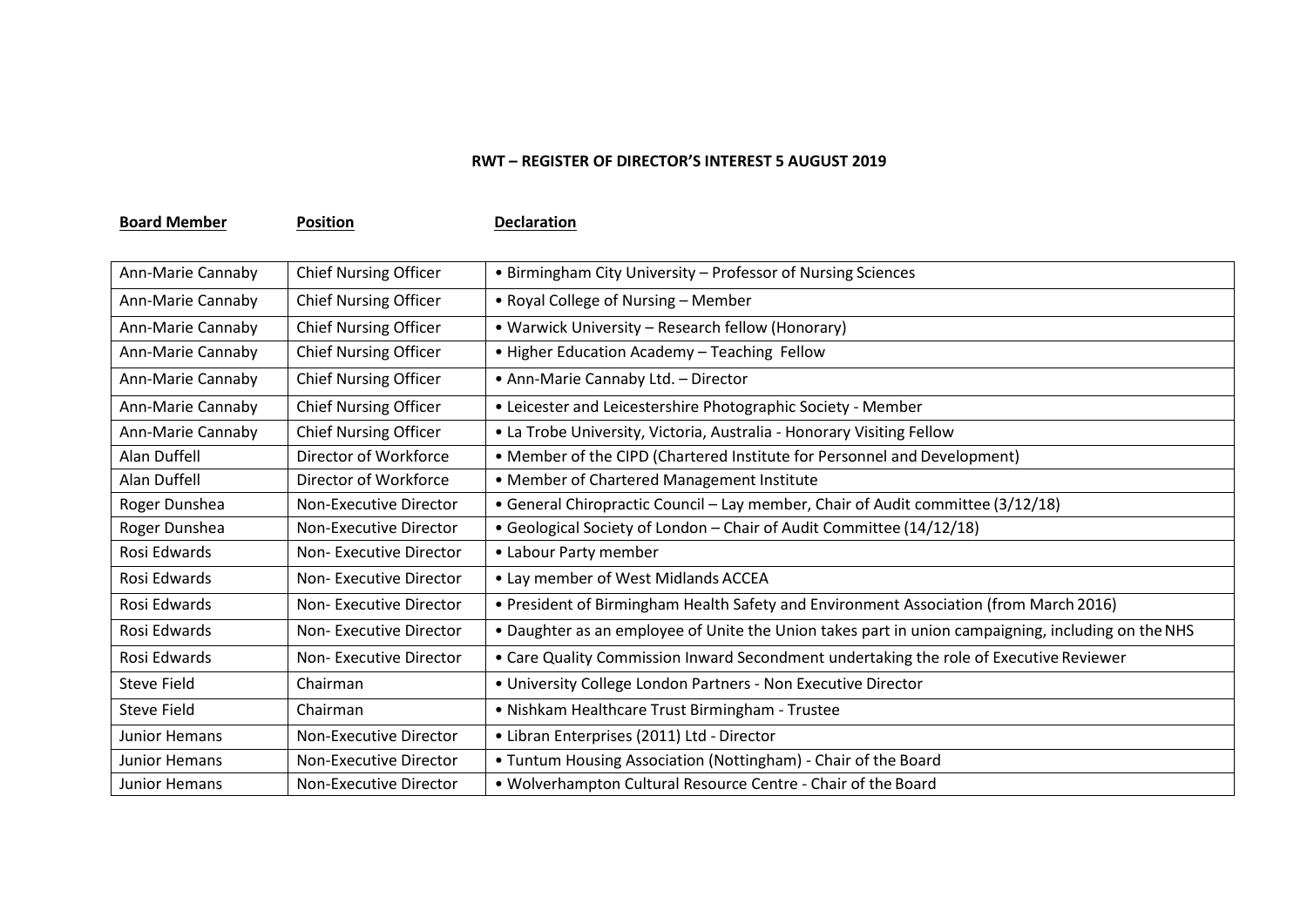## **RWT – REGISTER OF DIRECTOR'S INTEREST 5 AUGUST 2019**

**Board Member Position Declaration** 

| Ann-Marie Cannaby   | <b>Chief Nursing Officer</b> | • Birmingham City University - Professor of Nursing Sciences                                       |
|---------------------|------------------------------|----------------------------------------------------------------------------------------------------|
| Ann-Marie Cannaby   | <b>Chief Nursing Officer</b> | • Royal College of Nursing - Member                                                                |
| Ann-Marie Cannaby   | <b>Chief Nursing Officer</b> | • Warwick University – Research fellow (Honorary)                                                  |
| Ann-Marie Cannaby   | <b>Chief Nursing Officer</b> | . Higher Education Academy - Teaching Fellow                                                       |
| Ann-Marie Cannaby   | <b>Chief Nursing Officer</b> | • Ann-Marie Cannaby Ltd. - Director                                                                |
| Ann-Marie Cannaby   | <b>Chief Nursing Officer</b> | • Leicester and Leicestershire Photographic Society - Member                                       |
| Ann-Marie Cannaby   | <b>Chief Nursing Officer</b> | • La Trobe University, Victoria, Australia - Honorary Visiting Fellow                              |
| <b>Alan Duffell</b> | Director of Workforce        | • Member of the CIPD (Chartered Institute for Personnel and Development)                           |
| Alan Duffell        | Director of Workforce        | • Member of Chartered Management Institute                                                         |
| Roger Dunshea       | Non-Executive Director       | • General Chiropractic Council – Lay member, Chair of Audit committee (3/12/18)                    |
| Roger Dunshea       | Non-Executive Director       | • Geological Society of London - Chair of Audit Committee (14/12/18)                               |
| Rosi Edwards        | Non-Executive Director       | • Labour Party member                                                                              |
| Rosi Edwards        | Non-Executive Director       | • Lay member of West Midlands ACCEA                                                                |
| Rosi Edwards        | Non-Executive Director       | . President of Birmingham Health Safety and Environment Association (from March 2016)              |
| Rosi Edwards        | Non-Executive Director       | . Daughter as an employee of Unite the Union takes part in union campaigning, including on the NHS |
| Rosi Edwards        | Non-Executive Director       | . Care Quality Commission Inward Secondment undertaking the role of Executive Reviewer             |
| <b>Steve Field</b>  | Chairman                     | . University College London Partners - Non Executive Director                                      |
| <b>Steve Field</b>  | Chairman                     | • Nishkam Healthcare Trust Birmingham - Trustee                                                    |
| Junior Hemans       | Non-Executive Director       | • Libran Enterprises (2011) Ltd - Director                                                         |
| Junior Hemans       | Non-Executive Director       | • Tuntum Housing Association (Nottingham) - Chair of the Board                                     |
| Junior Hemans       | Non-Executive Director       | . Wolverhampton Cultural Resource Centre - Chair of the Board                                      |